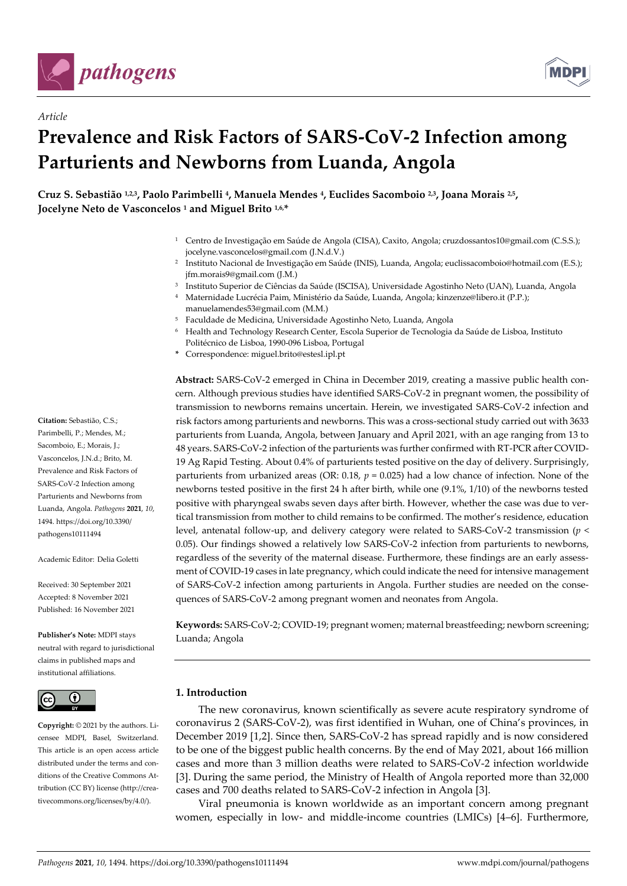

*Article*



# **Prevalence and Risk Factors of SARS-CoV-2 Infection among Parturients and Newborns from Luanda, Angola**

**Cruz S. Sebastião 1,2,3, Paolo Parimbelli <sup>4</sup> , Manuela Mendes <sup>4</sup> , Euclides Sacomboio 2,3, Joana Morais 2,5 , Jocelyne Neto de Vasconcelos <sup>1</sup> and Miguel Brito 1,6,\***

- <sup>1</sup> Centro de Investigação em Saúde de Angola (CISA), Caxito, Angola; cruzdossantos10@gmail.com (C.S.S.); jocelyne.vasconcelos@gmail.com (J.N.d.V.)
- 2 Instituto Nacional de Investigação em Saúde (INIS), Luanda, Angola; euclissacomboio@hotmail.com (E.S.); jfm.morais9@gmail.com (J.M.)
- 3 Instituto Superior de Ciências da Saúde (ISCISA), Universidade Agostinho Neto (UAN), Luanda, Angola
- <sup>4</sup> Maternidade Lucrécia Paim, Ministério da Saúde, Luanda, Angola; kinzenze@libero.it (P.P.); manuelamendes53@gmail.com (M.M.)
- <sup>5</sup> Faculdade de Medicina, Universidade Agostinho Neto, Luanda, Angola
- <sup>6</sup> Health and Technology Research Center, Escola Superior de Tecnologia da Saúde de Lisboa, Instituto Politécnico de Lisboa, 1990-096 Lisboa, Portugal
- **\*** Correspondence: miguel.brito@estesl.ipl.pt

**Abstract:** SARS-CoV-2 emerged in China in December 2019, creating a massive public health concern. Although previous studies have identified SARS-CoV-2 in pregnant women, the possibility of transmission to newborns remains uncertain. Herein, we investigated SARS-CoV-2 infection and risk factors among parturients and newborns. This was a cross-sectional study carried out with 3633 parturients from Luanda, Angola, between January and April 2021, with an age ranging from 13 to 48 years. SARS-CoV-2 infection of the parturients was further confirmed with RT-PCR after COVID-19 Ag Rapid Testing. About 0.4% of parturients tested positive on the day of delivery. Surprisingly, parturients from urbanized areas (OR: 0.18, *p* = 0.025) had a low chance of infection. None of the newborns tested positive in the first 24 h after birth, while one (9.1%, 1/10) of the newborns tested positive with pharyngeal swabs seven days after birth. However, whether the case was due to vertical transmission from mother to child remains to be confirmed. The mother's residence, education level, antenatal follow-up, and delivery category were related to SARS-CoV-2 transmission (*p* < 0.05). Our findings showed a relatively low SARS-CoV-2 infection from parturients to newborns, regardless of the severity of the maternal disease. Furthermore, these findings are an early assessment of COVID-19 cases in late pregnancy, which could indicate the need for intensive management of SARS-CoV-2 infection among parturients in Angola. Further studies are needed on the consequences of SARS-CoV-2 among pregnant women and neonates from Angola.

**Keywords:** SARS-CoV-2; COVID-19; pregnant women; maternal breastfeeding; newborn screening; Luanda; Angola

### **1. Introduction**

The new coronavirus, known scientifically as severe acute respiratory syndrome of coronavirus 2 (SARS-CoV-2), was first identified in Wuhan, one of China's provinces, in December 2019 [1,2]. Since then, SARS-CoV-2 has spread rapidly and is now considered to be one of the biggest public health concerns. By the end of May 2021, about 166 million cases and more than 3 million deaths were related to SARS-CoV-2 infection worldwide [3]. During the same period, the Ministry of Health of Angola reported more than 32,000 cases and 700 deaths related to SARS-CoV-2 infection in Angola [3].

Viral pneumonia is known worldwide as an important concern among pregnant women, especially in low- and middle-income countries (LMICs) [4–6]. Furthermore,

Parimbelli, P.; Mendes, M.; Sacomboio, E.; Morais, J.; Vasconcelos, J.N.d.; Brito, M. Prevalence and Risk Factors of SARS-CoV-2 Infection among Parturients and Newborns from Luanda, Angola. *Pathogens* **2021**, *10*, 1494. https://doi.org/10.3390/

**Citation:** Sebastião, C.S.;

Academic Editor: Delia Goletti

pathogens10111494

Received: 30 September 2021 Accepted: 8 November 2021 Published: 16 November 2021

**Publisher's Note:** MDPI stays neutral with regard to jurisdictional claims in published maps and institutional affiliations.



**Copyright:** © 2021 by the authors. Licensee MDPI, Basel, Switzerland. This article is an open access article distributed under the terms and conditions of the Creative Commons Attribution (CC BY) license (http://creativecommons.org/licenses/by/4.0/).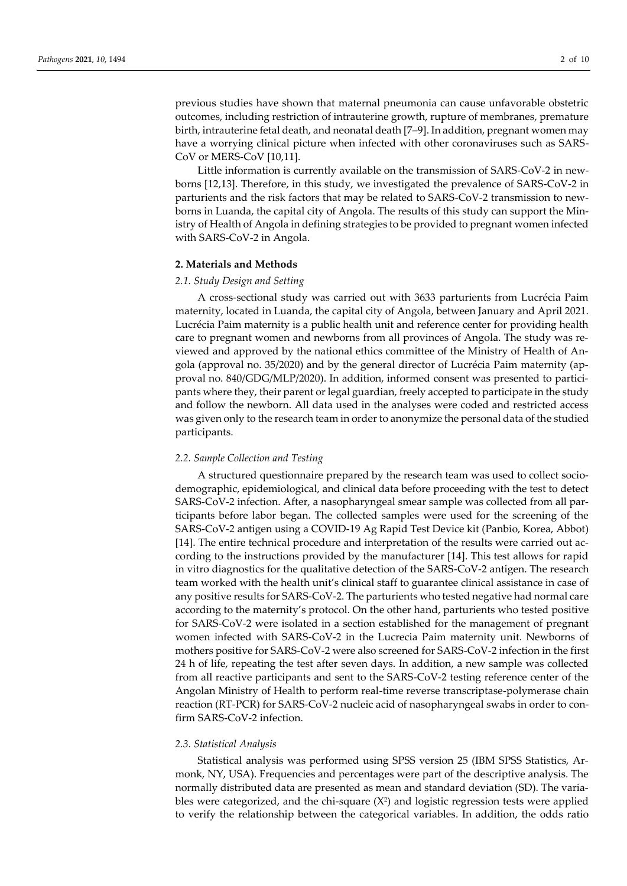previous studies have shown that maternal pneumonia can cause unfavorable obstetric outcomes, including restriction of intrauterine growth, rupture of membranes, premature birth, intrauterine fetal death, and neonatal death [7–9]. In addition, pregnant women may have a worrying clinical picture when infected with other coronaviruses such as SARS-CoV or MERS-CoV [10,11].

Little information is currently available on the transmission of SARS-CoV-2 in newborns [12,13]. Therefore, in this study, we investigated the prevalence of SARS-CoV-2 in parturients and the risk factors that may be related to SARS-CoV-2 transmission to newborns in Luanda, the capital city of Angola. The results of this study can support the Ministry of Health of Angola in defining strategies to be provided to pregnant women infected with SARS-CoV-2 in Angola.

#### **2. Materials and Methods**

#### *2.1. Study Design and Setting*

A cross-sectional study was carried out with 3633 parturients from Lucrécia Paim maternity, located in Luanda, the capital city of Angola, between January and April 2021. Lucrécia Paim maternity is a public health unit and reference center for providing health care to pregnant women and newborns from all provinces of Angola. The study was reviewed and approved by the national ethics committee of the Ministry of Health of Angola (approval no. 35/2020) and by the general director of Lucrécia Paim maternity (approval no. 840/GDG/MLP/2020). In addition, informed consent was presented to participants where they, their parent or legal guardian, freely accepted to participate in the study and follow the newborn. All data used in the analyses were coded and restricted access was given only to the research team in order to anonymize the personal data of the studied participants.

#### *2.2. Sample Collection and Testing*

A structured questionnaire prepared by the research team was used to collect sociodemographic, epidemiological, and clinical data before proceeding with the test to detect SARS-CoV-2 infection. After, a nasopharyngeal smear sample was collected from all participants before labor began. The collected samples were used for the screening of the SARS-CoV-2 antigen using a COVID-19 Ag Rapid Test Device kit (Panbio, Korea, Abbot) [14]. The entire technical procedure and interpretation of the results were carried out according to the instructions provided by the manufacturer [14]. This test allows for rapid in vitro diagnostics for the qualitative detection of the SARS-CoV-2 antigen. The research team worked with the health unit's clinical staff to guarantee clinical assistance in case of any positive results for SARS-CoV-2. The parturients who tested negative had normal care according to the maternity's protocol. On the other hand, parturients who tested positive for SARS-CoV-2 were isolated in a section established for the management of pregnant women infected with SARS-CoV-2 in the Lucrecia Paim maternity unit. Newborns of mothers positive for SARS-CoV-2 were also screened for SARS-CoV-2 infection in the first 24 h of life, repeating the test after seven days. In addition, a new sample was collected from all reactive participants and sent to the SARS-CoV-2 testing reference center of the Angolan Ministry of Health to perform real-time reverse transcriptase-polymerase chain reaction (RT-PCR) for SARS-CoV-2 nucleic acid of nasopharyngeal swabs in order to confirm SARS-CoV-2 infection.

#### *2.3. Statistical Analysis*

Statistical analysis was performed using SPSS version 25 (IBM SPSS Statistics, Armonk, NY, USA). Frequencies and percentages were part of the descriptive analysis. The normally distributed data are presented as mean and standard deviation (SD). The variables were categorized, and the chi-square  $(X^2)$  and logistic regression tests were applied to verify the relationship between the categorical variables. In addition, the odds ratio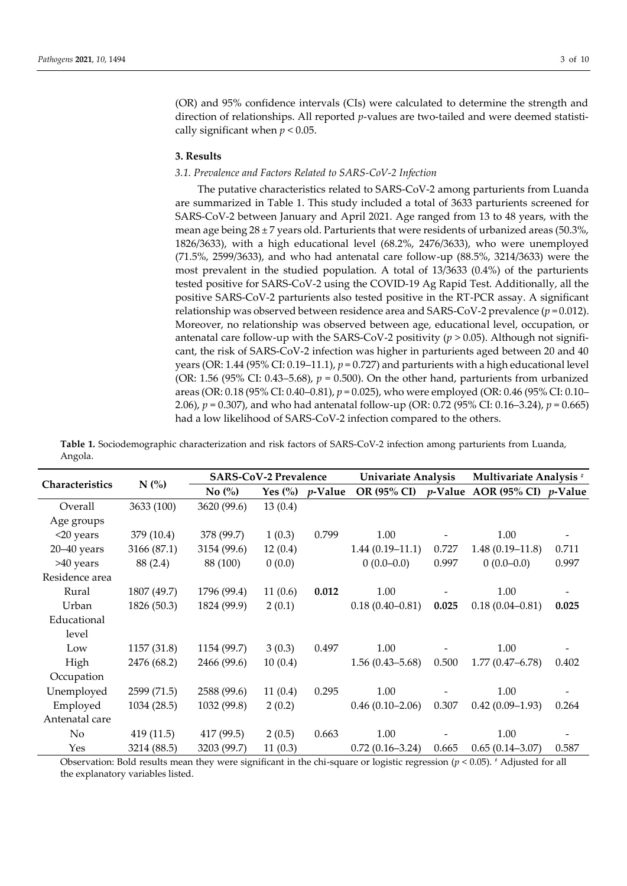(OR) and 95% confidence intervals (CIs) were calculated to determine the strength and direction of relationships. All reported *p*-values are two-tailed and were deemed statistically significant when *p* < 0.05.

#### **3. Results**

#### *3.1. Prevalence and Factors Related to SARS-CoV-2 Infection*

The putative characteristics related to SARS-CoV-2 among parturients from Luanda are summarized in Table 1. This study included a total of 3633 parturients screened for SARS-CoV-2 between January and April 2021. Age ranged from 13 to 48 years, with the mean age being  $28 \pm 7$  years old. Parturients that were residents of urbanized areas (50.3%, 1826/3633), with a high educational level (68.2%, 2476/3633), who were unemployed (71.5%, 2599/3633), and who had antenatal care follow-up (88.5%, 3214/3633) were the most prevalent in the studied population. A total of 13/3633 (0.4%) of the parturients tested positive for SARS-CoV-2 using the COVID-19 Ag Rapid Test. Additionally, all the positive SARS-CoV-2 parturients also tested positive in the RT-PCR assay. A significant relationship was observed between residence area and SARS-CoV-2 prevalence (*p* = 0.012). Moreover, no relationship was observed between age, educational level, occupation, or antenatal care follow-up with the SARS-CoV-2 positivity (*p* > 0.05). Although not significant, the risk of SARS-CoV-2 infection was higher in parturients aged between 20 and 40 years (OR:  $1.44$  (95% CI:  $0.19-11.1$ ),  $p = 0.727$ ) and parturients with a high educational level (OR: 1.56 (95% CI: 0.43–5.68),  $p = 0.500$ ). On the other hand, parturients from urbanized areas (OR: 0.18 (95% CI: 0.40–0.81), *p* = 0.025), who were employed (OR: 0.46 (95% CI: 0.10– 2.06), *p* = 0.307), and who had antenatal follow-up (OR: 0.72 (95% CI: 0.16–3.24), *p* = 0.665) had a low likelihood of SARS-CoV-2 infection compared to the others.

**Table 1.** Sociodemographic characterization and risk factors of SARS-CoV-2 infection among parturients from Luanda, Angola.

| Characteristics | N(%         | <b>SARS-CoV-2 Prevalence</b> |                       |            | <b>Univariate Analysis</b> |       | Multivariate Analysis <sup>#</sup>             |                          |  |
|-----------------|-------------|------------------------------|-----------------------|------------|----------------------------|-------|------------------------------------------------|--------------------------|--|
|                 |             | No $\left(\%\right)$         | Yes $\left(\%\right)$ | $p$ -Value |                            |       | OR (95% CI) $p$ -Value AOR (95% CI) $p$ -Value |                          |  |
| Overall         | 3633 (100)  | 3620 (99.6)                  | 13(0.4)               |            |                            |       |                                                |                          |  |
| Age groups      |             |                              |                       |            |                            |       |                                                |                          |  |
| $<$ 20 years    | 379 (10.4)  | 378 (99.7)                   | 1(0.3)                | 0.799      | 1.00                       |       | 1.00                                           | $\overline{\phantom{a}}$ |  |
| $20 - 40$ years | 3166 (87.1) | 3154 (99.6)                  | 12(0.4)               |            | $1.44(0.19-11.1)$          | 0.727 | $1.48(0.19-11.8)$                              | 0.711                    |  |
| >40 years       | 88 (2.4)    | 88 (100)                     | 0(0.0)                |            | $0(0.0-0.0)$               | 0.997 | $0(0.0-0.0)$                                   | 0.997                    |  |
| Residence area  |             |                              |                       |            |                            |       |                                                |                          |  |
| Rural           | 1807 (49.7) | 1796 (99.4)                  | 11(0.6)               | 0.012      | 1.00                       |       | 1.00                                           |                          |  |
| Urban           | 1826 (50.3) | 1824 (99.9)                  | 2(0.1)                |            | $0.18(0.40 - 0.81)$        | 0.025 | $0.18(0.04 - 0.81)$                            | 0.025                    |  |
| Educational     |             |                              |                       |            |                            |       |                                                |                          |  |
| level           |             |                              |                       |            |                            |       |                                                |                          |  |
| Low             | 1157 (31.8) | 1154 (99.7)                  | 3(0.3)                | 0.497      | 1.00                       |       | 1.00                                           |                          |  |
| High            | 2476 (68.2) | 2466 (99.6)                  | 10(0.4)               |            | $1.56(0.43 - 5.68)$        | 0.500 | $1.77(0.47 - 6.78)$                            | 0.402                    |  |
| Occupation      |             |                              |                       |            |                            |       |                                                |                          |  |
| Unemployed      | 2599 (71.5) | 2588 (99.6)                  | 11(0.4)               | 0.295      | 1.00                       |       | 1.00                                           |                          |  |
| Employed        | 1034 (28.5) | 1032 (99.8)                  | 2(0.2)                |            | $0.46(0.10-2.06)$          | 0.307 | $0.42(0.09-1.93)$                              | 0.264                    |  |
| Antenatal care  |             |                              |                       |            |                            |       |                                                |                          |  |
| No              | 419(11.5)   | 417 (99.5)                   | 2(0.5)                | 0.663      | 1.00                       |       | 1.00                                           |                          |  |
| Yes             | 3214 (88.5) | 3203 (99.7)                  | 11(0.3)               |            | $0.72(0.16 - 3.24)$        | 0.665 | $0.65(0.14-3.07)$                              | 0.587                    |  |

Observation: Bold results mean they were significant in the chi-square or logistic regression (*p* < 0.05). # Adjusted for all the explanatory variables listed.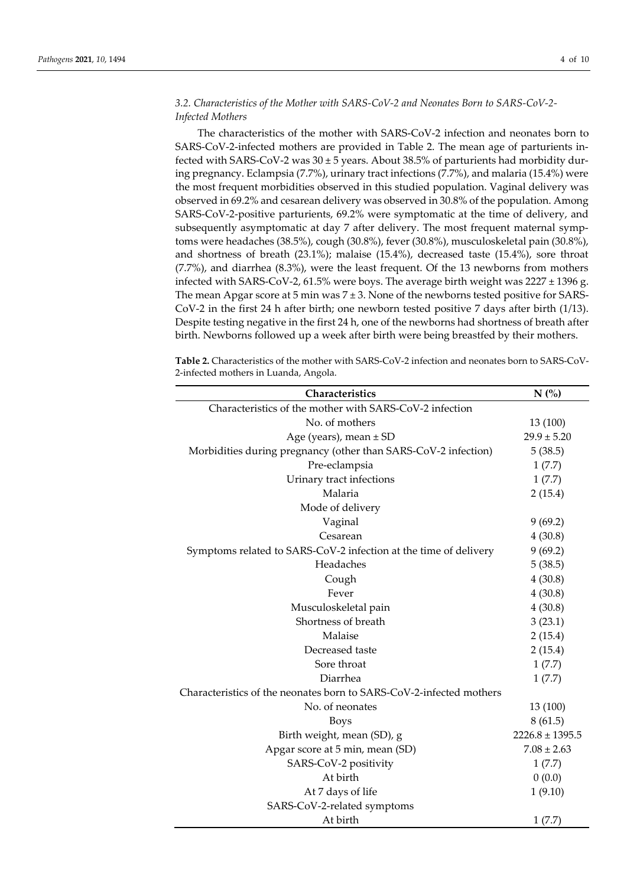# *3.2. Characteristics of the Mother with SARS-CoV-2 and Neonates Born to SARS-CoV-2- Infected Mothers*

The characteristics of the mother with SARS-CoV-2 infection and neonates born to SARS-CoV-2-infected mothers are provided in Table 2. The mean age of parturients infected with SARS-CoV-2 was  $30 \pm 5$  years. About 38.5% of parturients had morbidity during pregnancy. Eclampsia (7.7%), urinary tract infections (7.7%), and malaria (15.4%) were the most frequent morbidities observed in this studied population. Vaginal delivery was observed in 69.2% and cesarean delivery was observed in 30.8% of the population. Among SARS-CoV-2-positive parturients, 69.2% were symptomatic at the time of delivery, and subsequently asymptomatic at day 7 after delivery. The most frequent maternal symptoms were headaches (38.5%), cough (30.8%), fever (30.8%), musculoskeletal pain (30.8%), and shortness of breath (23.1%); malaise (15.4%), decreased taste (15.4%), sore throat (7.7%), and diarrhea (8.3%), were the least frequent. Of the 13 newborns from mothers infected with SARS-CoV-2, 61.5% were boys. The average birth weight was  $2227 \pm 1396$  g. The mean Apgar score at 5 min was  $7 \pm 3$ . None of the newborns tested positive for SARS-CoV-2 in the first 24 h after birth; one newborn tested positive 7 days after birth (1/13). Despite testing negative in the first 24 h, one of the newborns had shortness of breath after birth. Newborns followed up a week after birth were being breastfed by their mothers.

**Table 2.** Characteristics of the mother with SARS-CoV-2 infection and neonates born to SARS-CoV-2-infected mothers in Luanda, Angola.

| Characteristics                                                     | N(%)                |
|---------------------------------------------------------------------|---------------------|
| Characteristics of the mother with SARS-CoV-2 infection             |                     |
| No. of mothers                                                      | 13 (100)            |
| Age (years), mean $\pm$ SD                                          | $29.9 \pm 5.20$     |
| Morbidities during pregnancy (other than SARS-CoV-2 infection)      | 5(38.5)             |
| Pre-eclampsia                                                       | 1(7.7)              |
| Urinary tract infections                                            | 1(7.7)              |
| Malaria                                                             | 2(15.4)             |
| Mode of delivery                                                    |                     |
| Vaginal                                                             | 9(69.2)             |
| Cesarean                                                            | 4(30.8)             |
| Symptoms related to SARS-CoV-2 infection at the time of delivery    | 9(69.2)             |
| Headaches                                                           | 5(38.5)             |
| Cough                                                               | 4(30.8)             |
| Fever                                                               | 4(30.8)             |
| Musculoskeletal pain                                                | 4(30.8)             |
| Shortness of breath                                                 | 3(23.1)             |
| Malaise                                                             | 2(15.4)             |
| Decreased taste                                                     | 2(15.4)             |
| Sore throat                                                         | 1(7.7)              |
| Diarrhea                                                            | 1(7.7)              |
| Characteristics of the neonates born to SARS-CoV-2-infected mothers |                     |
| No. of neonates                                                     | 13 (100)            |
| <b>Boys</b>                                                         | 8(61.5)             |
| Birth weight, mean (SD), g                                          | $2226.8 \pm 1395.5$ |
| Apgar score at 5 min, mean (SD)                                     | $7.08 \pm 2.63$     |
| SARS-CoV-2 positivity                                               | 1(7.7)              |
| At birth                                                            | 0(0.0)              |
| At 7 days of life                                                   | 1(9.10)             |
| SARS-CoV-2-related symptoms                                         |                     |
| At birth                                                            | 1(7.7)              |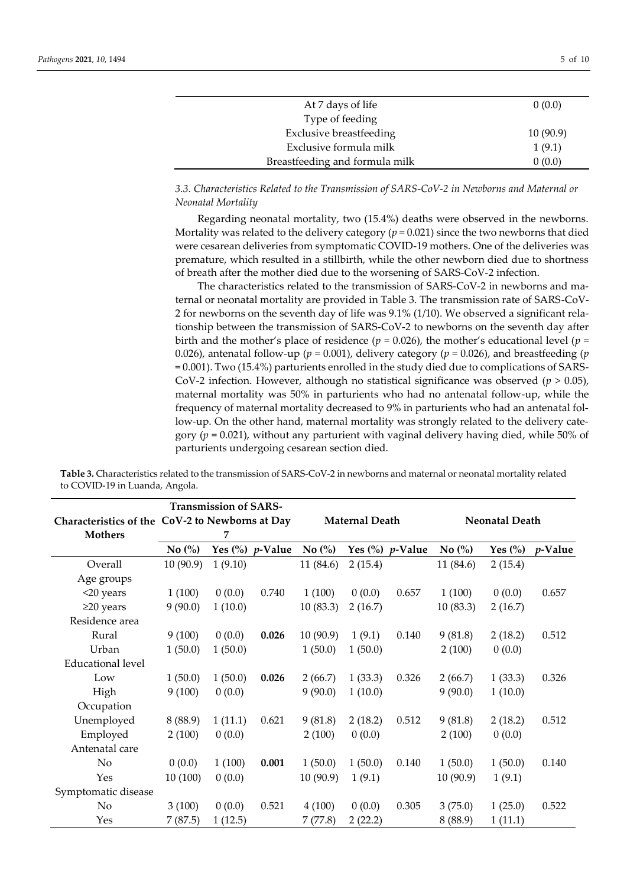| At 7 days of life              | 0(0.0)   |
|--------------------------------|----------|
| Type of feeding                |          |
| <b>Exclusive breastfeeding</b> | 10(90.9) |
| Exclusive formula milk         | 1(9.1)   |
| Breastfeeding and formula milk | 0(0.0)   |

*3.3. Characteristics Related to the Transmission of SARS-CoV-2 in Newborns and Maternal or Neonatal Mortality* 

Regarding neonatal mortality, two (15.4%) deaths were observed in the newborns. Mortality was related to the delivery category  $(p = 0.021)$  since the two newborns that died were cesarean deliveries from symptomatic COVID-19 mothers. One of the deliveries was premature, which resulted in a stillbirth, while the other newborn died due to shortness of breath after the mother died due to the worsening of SARS-CoV-2 infection.

The characteristics related to the transmission of SARS-CoV-2 in newborns and maternal or neonatal mortality are provided in Table 3. The transmission rate of SARS-CoV-2 for newborns on the seventh day of life was 9.1% (1/10). We observed a significant relationship between the transmission of SARS-CoV-2 to newborns on the seventh day after birth and the mother's place of residence ( $p = 0.026$ ), the mother's educational level ( $p =$ 0.026), antenatal follow-up ( $p = 0.001$ ), delivery category ( $p = 0.026$ ), and breastfeeding ( $p$ = 0.001). Two (15.4%) parturients enrolled in the study died due to complications of SARS-CoV-2 infection. However, although no statistical significance was observed ( $p > 0.05$ ), maternal mortality was 50% in parturients who had no antenatal follow-up, while the frequency of maternal mortality decreased to 9% in parturients who had an antenatal follow-up. On the other hand, maternal mortality was strongly related to the delivery category (*p* = 0.021), without any parturient with vaginal delivery having died, while 50% of parturients undergoing cesarean section died.

|                          | Characteristics of the CoV-2 to Newborns at Day |         |                                       | <b>Maternal Death</b>         |         |                                    | <b>Neonatal Death</b>         |                       |            |
|--------------------------|-------------------------------------------------|---------|---------------------------------------|-------------------------------|---------|------------------------------------|-------------------------------|-----------------------|------------|
| <b>Mothers</b>           |                                                 | 7       |                                       |                               |         |                                    |                               |                       |            |
|                          | No $\left(\%\right)$                            |         | Yes $\left(\%\right)$ <i>p</i> -Value | No $\left(\frac{0}{0}\right)$ |         | Yes $\binom{0}{0}$ <i>p</i> -Value | No $\left(\frac{0}{0}\right)$ | Yes $\left(\%\right)$ | $p$ -Value |
| Overall                  | 10(90.9)                                        | 1(9.10) |                                       | 11 (84.6)                     | 2(15.4) |                                    | 11 (84.6)                     | 2(15.4)               |            |
| Age groups               |                                                 |         |                                       |                               |         |                                    |                               |                       |            |
| <20 years                | 1(100)                                          | 0(0.0)  | 0.740                                 | 1(100)                        | 0(0.0)  | 0.657                              | 1(100)                        | 0(0.0)                | 0.657      |
| $\geq$ 20 years          | 9(90.0)                                         | 1(10.0) |                                       | 10(83.3)                      | 2(16.7) |                                    | 10(83.3)                      | 2(16.7)               |            |
| Residence area           |                                                 |         |                                       |                               |         |                                    |                               |                       |            |
| Rural                    | 9(100)                                          | 0(0.0)  | 0.026                                 | 10(90.9)                      | 1(9.1)  | 0.140                              | 9(81.8)                       | 2(18.2)               | 0.512      |
| Urban                    | 1(50.0)                                         | 1(50.0) |                                       | 1(50.0)                       | 1(50.0) |                                    | 2(100)                        | 0(0.0)                |            |
| <b>Educational level</b> |                                                 |         |                                       |                               |         |                                    |                               |                       |            |
| Low                      | 1(50.0)                                         | 1(50.0) | 0.026                                 | 2(66.7)                       | 1(33.3) | 0.326                              | 2(66.7)                       | 1(33.3)               | 0.326      |
| High                     | 9(100)                                          | 0(0.0)  |                                       | 9(90.0)                       | 1(10.0) |                                    | 9(90.0)                       | 1(10.0)               |            |
| Occupation               |                                                 |         |                                       |                               |         |                                    |                               |                       |            |
| Unemployed               | 8(88.9)                                         | 1(11.1) | 0.621                                 | 9(81.8)                       | 2(18.2) | 0.512                              | 9(81.8)                       | 2(18.2)               | 0.512      |
| Employed                 | 2(100)                                          | 0(0.0)  |                                       | 2(100)                        | 0(0.0)  |                                    | 2(100)                        | 0(0.0)                |            |
| Antenatal care           |                                                 |         |                                       |                               |         |                                    |                               |                       |            |
| No                       | 0(0.0)                                          | 1(100)  | 0.001                                 | 1(50.0)                       | 1(50.0) | 0.140                              | 1(50.0)                       | 1(50.0)               | 0.140      |
| Yes                      | 10(100)                                         | 0(0.0)  |                                       | 10(90.9)                      | 1(9.1)  |                                    | 10(90.9)                      | 1(9.1)                |            |
| Symptomatic disease      |                                                 |         |                                       |                               |         |                                    |                               |                       |            |
| No                       | 3(100)                                          | 0(0.0)  | 0.521                                 | 4(100)                        | 0(0.0)  | 0.305                              | 3(75.0)                       | 1(25.0)               | 0.522      |
| Yes                      | 7(87.5)                                         | 1(12.5) |                                       | 7(77.8)                       | 2(22.2) |                                    | 8(88.9)                       | 1(11.1)               |            |

**Table 3.** Characteristics related to the transmission of SARS-CoV-2 in newborns and maternal or neonatal mortality related to COVID-19 in Luanda, Angola.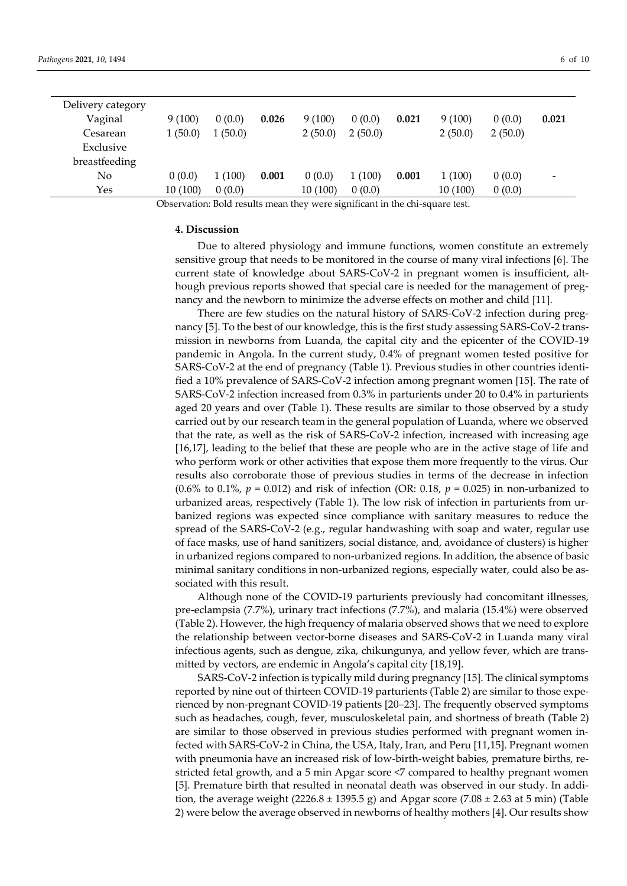| Delivery category |         |         |       |         |         |       |         |         |       |
|-------------------|---------|---------|-------|---------|---------|-------|---------|---------|-------|
| Vaginal           | 9(100)  | 0(0.0)  | 0.026 | 9(100)  | 0(0.0)  | 0.021 | 9(100)  | 0(0.0)  | 0.021 |
| Cesarean          | 1(50.0) | 1(50.0) |       | 2(50.0) | 2(50.0) |       | 2(50.0) | 2(50.0) |       |
| Exclusive         |         |         |       |         |         |       |         |         |       |
| breastfeeding     |         |         |       |         |         |       |         |         |       |
| No                | 0(0.0)  | 1(100)  | 0.001 | 0(0.0)  | 1(100)  | 0.001 | 1(100)  | 0(0.0)  | -     |
| Yes               | 10(100) | 0(0.0)  |       | 10(100) | 0(0.0)  |       | 10(100) | 0(0.0)  |       |

Observation: Bold results mean they were significant in the chi-square test.

#### **4. Discussion**

Due to altered physiology and immune functions, women constitute an extremely sensitive group that needs to be monitored in the course of many viral infections [6]. The current state of knowledge about SARS-CoV-2 in pregnant women is insufficient, although previous reports showed that special care is needed for the management of pregnancy and the newborn to minimize the adverse effects on mother and child [11].

There are few studies on the natural history of SARS-CoV-2 infection during pregnancy [5]. To the best of our knowledge, this is the first study assessing SARS-CoV-2 transmission in newborns from Luanda, the capital city and the epicenter of the COVID-19 pandemic in Angola. In the current study, 0.4% of pregnant women tested positive for SARS-CoV-2 at the end of pregnancy (Table 1). Previous studies in other countries identified a 10% prevalence of SARS-CoV-2 infection among pregnant women [15]. The rate of SARS-CoV-2 infection increased from 0.3% in parturients under 20 to 0.4% in parturients aged 20 years and over (Table 1). These results are similar to those observed by a study carried out by our research team in the general population of Luanda, where we observed that the rate, as well as the risk of SARS-CoV-2 infection, increased with increasing age [16,17], leading to the belief that these are people who are in the active stage of life and who perform work or other activities that expose them more frequently to the virus. Our results also corroborate those of previous studies in terms of the decrease in infection (0.6% to 0.1%, *p* = 0.012) and risk of infection (OR: 0.18, *p* = 0.025) in non-urbanized to urbanized areas, respectively (Table 1). The low risk of infection in parturients from urbanized regions was expected since compliance with sanitary measures to reduce the spread of the SARS-CoV-2 (e.g., regular handwashing with soap and water, regular use of face masks, use of hand sanitizers, social distance, and, avoidance of clusters) is higher in urbanized regions compared to non-urbanized regions. In addition, the absence of basic minimal sanitary conditions in non-urbanized regions, especially water, could also be associated with this result.

Although none of the COVID-19 parturients previously had concomitant illnesses, pre-eclampsia (7.7%), urinary tract infections (7.7%), and malaria (15.4%) were observed (Table 2). However, the high frequency of malaria observed shows that we need to explore the relationship between vector-borne diseases and SARS-CoV-2 in Luanda many viral infectious agents, such as dengue, zika, chikungunya, and yellow fever, which are transmitted by vectors, are endemic in Angola's capital city [18,19].

SARS-CoV-2 infection is typically mild during pregnancy [15]. The clinical symptoms reported by nine out of thirteen COVID-19 parturients (Table 2) are similar to those experienced by non-pregnant COVID-19 patients [20–23]. The frequently observed symptoms such as headaches, cough, fever, musculoskeletal pain, and shortness of breath (Table 2) are similar to those observed in previous studies performed with pregnant women infected with SARS-CoV-2 in China, the USA, Italy, Iran, and Peru [11,15]. Pregnant women with pneumonia have an increased risk of low-birth-weight babies, premature births, restricted fetal growth, and a 5 min Apgar score <7 compared to healthy pregnant women [5]. Premature birth that resulted in neonatal death was observed in our study. In addition, the average weight  $(2226.8 \pm 1395.5 \text{ g})$  and Apgar score  $(7.08 \pm 2.63 \text{ at } 5 \text{ min})$  (Table 2) were below the average observed in newborns of healthy mothers [4]. Our results show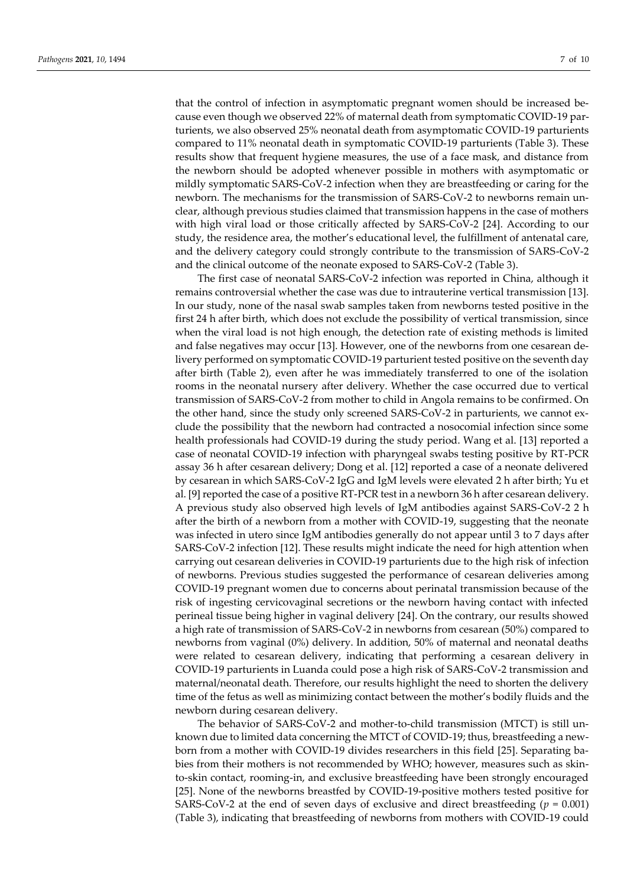that the control of infection in asymptomatic pregnant women should be increased because even though we observed 22% of maternal death from symptomatic COVID-19 parturients, we also observed 25% neonatal death from asymptomatic COVID-19 parturients compared to 11% neonatal death in symptomatic COVID-19 parturients (Table 3). These results show that frequent hygiene measures, the use of a face mask, and distance from the newborn should be adopted whenever possible in mothers with asymptomatic or mildly symptomatic SARS-CoV-2 infection when they are breastfeeding or caring for the newborn. The mechanisms for the transmission of SARS-CoV-2 to newborns remain unclear, although previous studies claimed that transmission happens in the case of mothers with high viral load or those critically affected by SARS-CoV-2 [24]. According to our study, the residence area, the mother's educational level, the fulfillment of antenatal care, and the delivery category could strongly contribute to the transmission of SARS-CoV-2 and the clinical outcome of the neonate exposed to SARS-CoV-2 (Table 3).

The first case of neonatal SARS-CoV-2 infection was reported in China, although it remains controversial whether the case was due to intrauterine vertical transmission [13]. In our study, none of the nasal swab samples taken from newborns tested positive in the first 24 h after birth, which does not exclude the possibility of vertical transmission, since when the viral load is not high enough, the detection rate of existing methods is limited and false negatives may occur [13]. However, one of the newborns from one cesarean delivery performed on symptomatic COVID-19 parturient tested positive on the seventh day after birth (Table 2), even after he was immediately transferred to one of the isolation rooms in the neonatal nursery after delivery. Whether the case occurred due to vertical transmission of SARS-CoV-2 from mother to child in Angola remains to be confirmed. On the other hand, since the study only screened SARS-CoV-2 in parturients, we cannot exclude the possibility that the newborn had contracted a nosocomial infection since some health professionals had COVID-19 during the study period. Wang et al. [13] reported a case of neonatal COVID-19 infection with pharyngeal swabs testing positive by RT-PCR assay 36 h after cesarean delivery; Dong et al. [12] reported a case of a neonate delivered by cesarean in which SARS-CoV-2 IgG and IgM levels were elevated 2 h after birth; Yu et al. [9] reported the case of a positive RT-PCR test in a newborn 36 h after cesarean delivery. A previous study also observed high levels of IgM antibodies against SARS-CoV-2 2 h after the birth of a newborn from a mother with COVID-19, suggesting that the neonate was infected in utero since IgM antibodies generally do not appear until 3 to 7 days after SARS-CoV-2 infection [12]. These results might indicate the need for high attention when carrying out cesarean deliveries in COVID-19 parturients due to the high risk of infection of newborns. Previous studies suggested the performance of cesarean deliveries among COVID-19 pregnant women due to concerns about perinatal transmission because of the risk of ingesting cervicovaginal secretions or the newborn having contact with infected perineal tissue being higher in vaginal delivery [24]. On the contrary, our results showed a high rate of transmission of SARS-CoV-2 in newborns from cesarean (50%) compared to newborns from vaginal (0%) delivery. In addition, 50% of maternal and neonatal deaths were related to cesarean delivery, indicating that performing a cesarean delivery in COVID-19 parturients in Luanda could pose a high risk of SARS-CoV-2 transmission and maternal/neonatal death. Therefore, our results highlight the need to shorten the delivery time of the fetus as well as minimizing contact between the mother's bodily fluids and the newborn during cesarean delivery.

The behavior of SARS-CoV-2 and mother-to-child transmission (MTCT) is still unknown due to limited data concerning the MTCT of COVID-19; thus, breastfeeding a newborn from a mother with COVID-19 divides researchers in this field [25]. Separating babies from their mothers is not recommended by WHO; however, measures such as skinto-skin contact, rooming-in, and exclusive breastfeeding have been strongly encouraged [25]. None of the newborns breastfed by COVID-19-positive mothers tested positive for SARS-CoV-2 at the end of seven days of exclusive and direct breastfeeding (*p* = 0.001) (Table 3), indicating that breastfeeding of newborns from mothers with COVID-19 could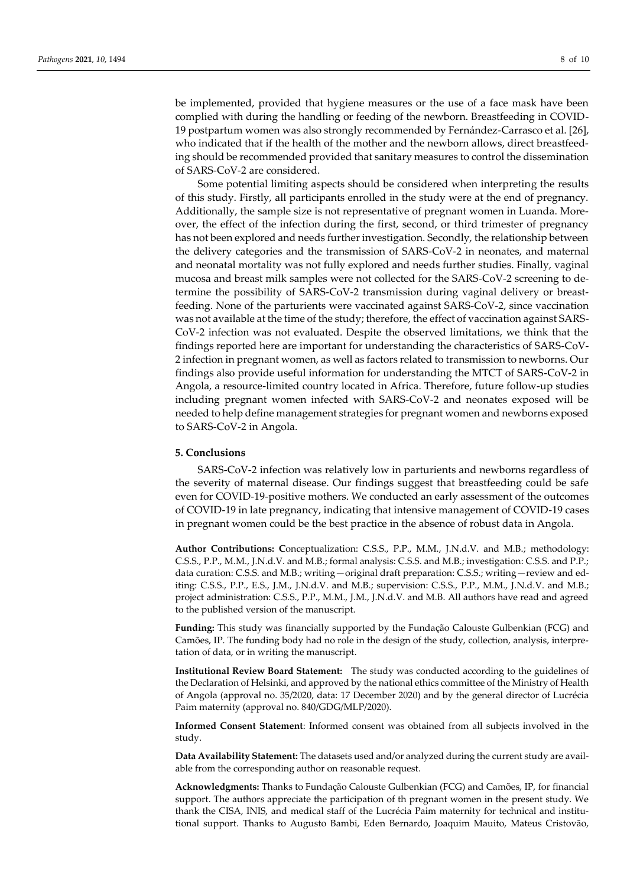be implemented, provided that hygiene measures or the use of a face mask have been complied with during the handling or feeding of the newborn. Breastfeeding in COVID-19 postpartum women was also strongly recommended by Fernández-Carrasco et al. [26], who indicated that if the health of the mother and the newborn allows, direct breastfeeding should be recommended provided that sanitary measures to control the dissemination of SARS-CoV-2 are considered.

Some potential limiting aspects should be considered when interpreting the results of this study. Firstly, all participants enrolled in the study were at the end of pregnancy. Additionally, the sample size is not representative of pregnant women in Luanda. Moreover, the effect of the infection during the first, second, or third trimester of pregnancy has not been explored and needs further investigation. Secondly, the relationship between the delivery categories and the transmission of SARS-CoV-2 in neonates, and maternal and neonatal mortality was not fully explored and needs further studies. Finally, vaginal mucosa and breast milk samples were not collected for the SARS-CoV-2 screening to determine the possibility of SARS-CoV-2 transmission during vaginal delivery or breastfeeding. None of the parturients were vaccinated against SARS-CoV-2, since vaccination was not available at the time of the study; therefore, the effect of vaccination against SARS-CoV-2 infection was not evaluated. Despite the observed limitations, we think that the findings reported here are important for understanding the characteristics of SARS-CoV-2 infection in pregnant women, as well as factors related to transmission to newborns. Our findings also provide useful information for understanding the MTCT of SARS-CoV-2 in Angola, a resource-limited country located in Africa. Therefore, future follow-up studies including pregnant women infected with SARS-CoV-2 and neonates exposed will be needed to help define management strategies for pregnant women and newborns exposed to SARS-CoV-2 in Angola.

#### **5. Conclusions**

SARS-CoV-2 infection was relatively low in parturients and newborns regardless of the severity of maternal disease. Our findings suggest that breastfeeding could be safe even for COVID-19-positive mothers. We conducted an early assessment of the outcomes of COVID-19 in late pregnancy, indicating that intensive management of COVID-19 cases in pregnant women could be the best practice in the absence of robust data in Angola.

**Author Contributions: C**onceptualization: C.S.S., P.P., M.M., J.N.d.V. and M.B.; methodology: C.S.S., P.P., M.M., J.N.d.V. and M.B.; formal analysis: C.S.S. and M.B.; investigation: C.S.S. and P.P.; data curation: C.S.S. and M.B.; writing—original draft preparation: C.S.S.; writing—review and editing: C.S.S., P.P., E.S., J.M., J.N.d.V. and M.B.; supervision: C.S.S., P.P., M.M., J.N.d.V. and M.B.; project administration: C.S.S., P.P., M.M., J.M., J.N.d.V. and M.B. All authors have read and agreed to the published version of the manuscript.

**Funding:** This study was financially supported by the Fundação Calouste Gulbenkian (FCG) and Camões, IP. The funding body had no role in the design of the study, collection, analysis, interpretation of data, or in writing the manuscript.

**Institutional Review Board Statement:** The study was conducted according to the guidelines of the Declaration of Helsinki, and approved by the national ethics committee of the Ministry of Health of Angola (approval no. 35/2020, data: 17 December 2020) and by the general director of Lucrécia Paim maternity (approval no. 840/GDG/MLP/2020).

**Informed Consent Statement**: Informed consent was obtained from all subjects involved in the study.

**Data Availability Statement:** The datasets used and/or analyzed during the current study are available from the corresponding author on reasonable request.

**Acknowledgments:** Thanks to Fundação Calouste Gulbenkian (FCG) and Camões, IP, for financial support. The authors appreciate the participation of th pregnant women in the present study. We thank the CISA, INIS, and medical staff of the Lucrécia Paim maternity for technical and institutional support. Thanks to Augusto Bambi, Eden Bernardo, Joaquim Mauito, Mateus Cristovão,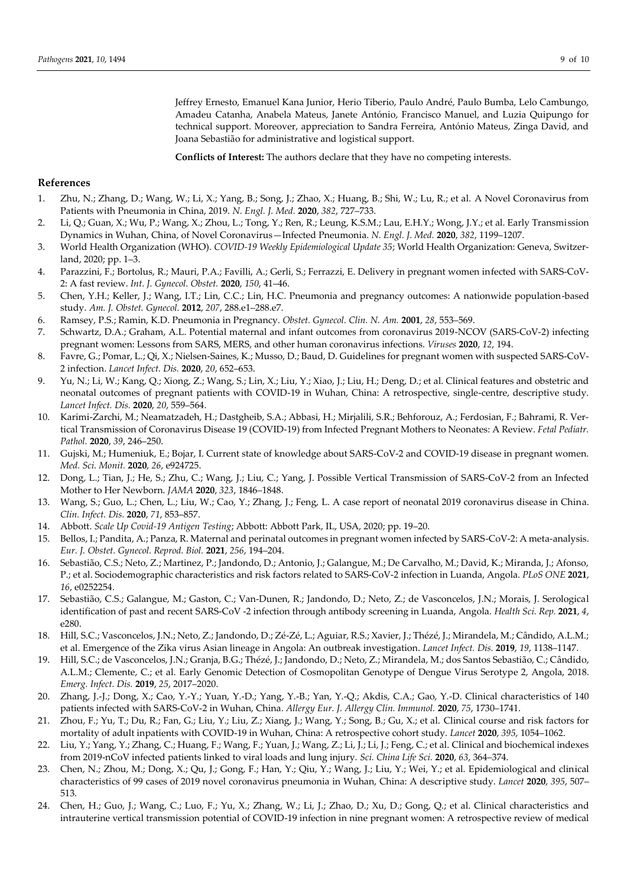Jeffrey Ernesto, Emanuel Kana Junior, Herio Tiberio, Paulo André, Paulo Bumba, Lelo Cambungo, Amadeu Catanha, Anabela Mateus, Janete António, Francisco Manuel, and Luzia Quipungo for technical support. Moreover, appreciation to Sandra Ferreira, António Mateus, Zinga David, and Joana Sebastião for administrative and logistical support.

**Conflicts of Interest:** The authors declare that they have no competing interests.

## **References**

- 1. Zhu, N.; Zhang, D.; Wang, W.; Li, X.; Yang, B.; Song, J.; Zhao, X.; Huang, B.; Shi, W.; Lu, R.; et al. A Novel Coronavirus from Patients with Pneumonia in China, 2019. *N. Engl. J. Med.* **2020**, *382*, 727–733.
- 2. Li, Q.; Guan, X.; Wu, P.; Wang, X.; Zhou, L.; Tong, Y.; Ren, R.; Leung, K.S.M.; Lau, E.H.Y.; Wong, J.Y.; et al. Early Transmission Dynamics in Wuhan, China, of Novel Coronavirus—Infected Pneumonia. *N. Engl. J. Med.* **2020**, *382*, 1199–1207.
- 3. World Health Organization (WHO). *COVID-19 Weekly Epidemiological Update 35*; World Health Organization: Geneva, Switzerland, 2020; pp. 1–3.
- 4. Parazzini, F.; Bortolus, R.; Mauri, P.A.; Favilli, A.; Gerli, S.; Ferrazzi, E. Delivery in pregnant women infected with SARS-CoV-2: A fast review. *Int. J. Gynecol. Obstet.* **2020**, *150*, 41–46.
- 5. Chen, Y.H.; Keller, J.; Wang, I.T.; Lin, C.C.; Lin, H.C. Pneumonia and pregnancy outcomes: A nationwide population-based study. *Am. J. Obstet. Gynecol.* **2012**, *207*, 288.e1–288.e7.
- 6. Ramsey, P.S.; Ramin, K.D. Pneumonia in Pregnancy. *Obstet. Gynecol. Clin. N. Am.* **2001**, *28*, 553–569.
- 7. Schwartz, D.A.; Graham, A.L. Potential maternal and infant outcomes from coronavirus 2019-NCOV (SARS-CoV-2) infecting pregnant women: Lessons from SARS, MERS, and other human coronavirus infections. *Viruses* **2020**, *12*, 194.
- 8. Favre, G.; Pomar, L.; Qi, X.; Nielsen-Saines, K.; Musso, D.; Baud, D. Guidelines for pregnant women with suspected SARS-CoV-2 infection. *Lancet Infect. Dis.* **2020**, *20*, 652–653.
- 9. Yu, N.; Li, W.; Kang, Q.; Xiong, Z.; Wang, S.; Lin, X.; Liu, Y.; Xiao, J.; Liu, H.; Deng, D.; et al. Clinical features and obstetric and neonatal outcomes of pregnant patients with COVID-19 in Wuhan, China: A retrospective, single-centre, descriptive study. *Lancet Infect. Dis.* **2020**, *20*, 559–564.
- 10. Karimi-Zarchi, M.; Neamatzadeh, H.; Dastgheib, S.A.; Abbasi, H.; Mirjalili, S.R.; Behforouz, A.; Ferdosian, F.; Bahrami, R. Vertical Transmission of Coronavirus Disease 19 (COVID-19) from Infected Pregnant Mothers to Neonates: A Review. *Fetal Pediatr. Pathol.* **2020**, *39*, 246–250.
- 11. Gujski, M.; Humeniuk, E.; Bojar, I. Current state of knowledge about SARS-CoV-2 and COVID-19 disease in pregnant women. *Med. Sci. Monit.* **2020**, *26*, e924725.
- 12. Dong, L.; Tian, J.; He, S.; Zhu, C.; Wang, J.; Liu, C.; Yang, J. Possible Vertical Transmission of SARS-CoV-2 from an Infected Mother to Her Newborn. *JAMA* **2020**, *323*, 1846–1848.
- 13. Wang, S.; Guo, L.; Chen, L.; Liu, W.; Cao, Y.; Zhang, J.; Feng, L. A case report of neonatal 2019 coronavirus disease in China. *Clin. Infect. Dis.* **2020**, *71*, 853–857.
- 14. Abbott. *Scale Up Covid-19 Antigen Testing*; Abbott: Abbott Park, IL, USA, 2020; pp. 19–20.
- 15. Bellos, I.; Pandita, A.; Panza, R. Maternal and perinatal outcomes in pregnant women infected by SARS-CoV-2: A meta-analysis. *Eur. J. Obstet. Gynecol. Reprod. Biol.* **2021**, *256*, 194–204.
- 16. Sebastião, C.S.; Neto, Z.; Martinez, P.; Jandondo, D.; Antonio, J.; Galangue, M.; De Carvalho, M.; David, K.; Miranda, J.; Afonso, P.; et al. Sociodemographic characteristics and risk factors related to SARS-CoV-2 infection in Luanda, Angola. *PLoS ONE* **2021**, *16*, e0252254.
- 17. Sebastião, C.S.; Galangue, M.; Gaston, C.; Van‐Dunen, R.; Jandondo, D.; Neto, Z.; de Vasconcelos, J.N.; Morais, J. Serological identification of past and recent SARS‐CoV ‐2 infection through antibody screening in Luanda, Angola. *Health Sci. Rep.* **2021**, *4*, e280.
- 18. Hill, S.C.; Vasconcelos, J.N.; Neto, Z.; Jandondo, D.; Zé-Zé, L.; Aguiar, R.S.; Xavier, J.; Thézé, J.; Mirandela, M.; Cândido, A.L.M.; et al. Emergence of the Zika virus Asian lineage in Angola: An outbreak investigation. *Lancet Infect. Dis.* **2019**, *19*, 1138–1147.
- 19. Hill, S.C.; de Vasconcelos, J.N.; Granja, B.G.; Thézé, J.; Jandondo, D.; Neto, Z.; Mirandela, M.; dos Santos Sebastião, C.; Cândido, A.L.M.; Clemente, C.; et al. Early Genomic Detection of Cosmopolitan Genotype of Dengue Virus Serotype 2, Angola, 2018. *Emerg. Infect. Dis.* **2019**, *25*, 2017–2020.
- 20. Zhang, J.-J.; Dong, X.; Cao, Y.-Y.; Yuan, Y.-D.; Yang, Y.-B.; Yan, Y.-Q.; Akdis, C.A.; Gao, Y.-D. Clinical characteristics of 140 patients infected with SARS-CoV-2 in Wuhan, China. *Allergy Eur. J. Allergy Clin. Immunol.* **2020**, *75*, 1730–1741.
- 21. Zhou, F.; Yu, T.; Du, R.; Fan, G.; Liu, Y.; Liu, Z.; Xiang, J.; Wang, Y.; Song, B.; Gu, X.; et al. Clinical course and risk factors for mortality of adult inpatients with COVID-19 in Wuhan, China: A retrospective cohort study. *Lancet* **2020**, *395*, 1054–1062.
- 22. Liu, Y.; Yang, Y.; Zhang, C.; Huang, F.; Wang, F.; Yuan, J.; Wang, Z.; Li, J.; Li, J.; Feng, C.; et al. Clinical and biochemical indexes from 2019-nCoV infected patients linked to viral loads and lung injury. *Sci. China Life Sci.* **2020**, *63*, 364–374.
- 23. Chen, N.; Zhou, M.; Dong, X.; Qu, J.; Gong, F.; Han, Y.; Qiu, Y.; Wang, J.; Liu, Y.; Wei, Y.; et al. Epidemiological and clinical characteristics of 99 cases of 2019 novel coronavirus pneumonia in Wuhan, China: A descriptive study. *Lancet* **2020**, *395*, 507– 513.
- 24. Chen, H.; Guo, J.; Wang, C.; Luo, F.; Yu, X.; Zhang, W.; Li, J.; Zhao, D.; Xu, D.; Gong, Q.; et al. Clinical characteristics and intrauterine vertical transmission potential of COVID-19 infection in nine pregnant women: A retrospective review of medical